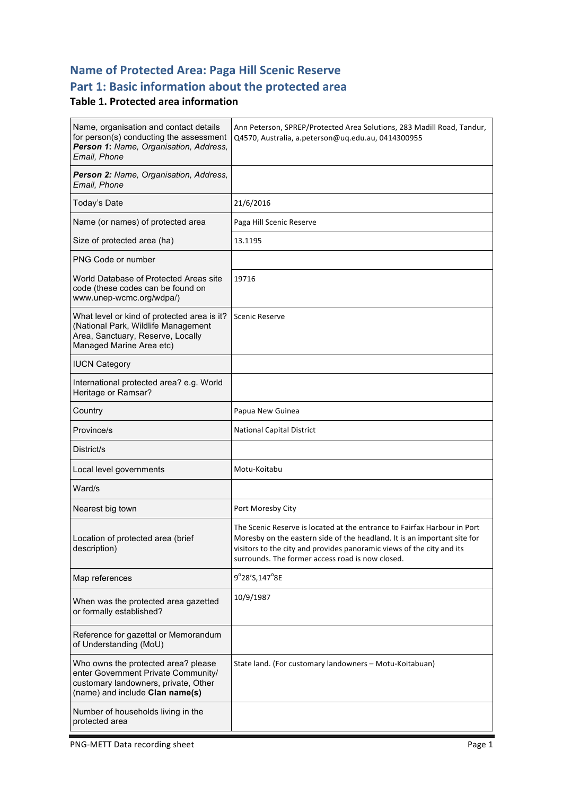# **Name of Protected Area: Paga Hill Scenic Reserve**

# Part 1: Basic information about the protected area

### **Table 1. Protected area information**

| Name, organisation and contact details<br>for person(s) conducting the assessment<br>Person 1: Name, Organisation, Address,<br>Email, Phone           | Ann Peterson, SPREP/Protected Area Solutions, 283 Madill Road, Tandur,<br>Q4570, Australia, a.peterson@uq.edu.au, 0414300955                                                                                                                                                      |
|-------------------------------------------------------------------------------------------------------------------------------------------------------|-----------------------------------------------------------------------------------------------------------------------------------------------------------------------------------------------------------------------------------------------------------------------------------|
| Person 2: Name, Organisation, Address,<br>Email, Phone                                                                                                |                                                                                                                                                                                                                                                                                   |
| Today's Date                                                                                                                                          | 21/6/2016                                                                                                                                                                                                                                                                         |
| Name (or names) of protected area                                                                                                                     | Paga Hill Scenic Reserve                                                                                                                                                                                                                                                          |
| Size of protected area (ha)                                                                                                                           | 13.1195                                                                                                                                                                                                                                                                           |
| PNG Code or number                                                                                                                                    |                                                                                                                                                                                                                                                                                   |
| World Database of Protected Areas site<br>code (these codes can be found on<br>www.unep-wcmc.org/wdpa/)                                               | 19716                                                                                                                                                                                                                                                                             |
| What level or kind of protected area is it?<br>(National Park, Wildlife Management<br>Area, Sanctuary, Reserve, Locally<br>Managed Marine Area etc)   | Scenic Reserve                                                                                                                                                                                                                                                                    |
| <b>IUCN Category</b>                                                                                                                                  |                                                                                                                                                                                                                                                                                   |
| International protected area? e.g. World<br>Heritage or Ramsar?                                                                                       |                                                                                                                                                                                                                                                                                   |
| Country                                                                                                                                               | Papua New Guinea                                                                                                                                                                                                                                                                  |
| Province/s                                                                                                                                            | <b>National Capital District</b>                                                                                                                                                                                                                                                  |
| District/s                                                                                                                                            |                                                                                                                                                                                                                                                                                   |
| Local level governments                                                                                                                               | Motu-Koitabu                                                                                                                                                                                                                                                                      |
| Ward/s                                                                                                                                                |                                                                                                                                                                                                                                                                                   |
| Nearest big town                                                                                                                                      | Port Moresby City                                                                                                                                                                                                                                                                 |
| Location of protected area (brief<br>description)                                                                                                     | The Scenic Reserve is located at the entrance to Fairfax Harbour in Port<br>Moresby on the eastern side of the headland. It is an important site for<br>visitors to the city and provides panoramic views of the city and its<br>surrounds. The former access road is now closed. |
| Map references                                                                                                                                        | 9°28'S,147°8E                                                                                                                                                                                                                                                                     |
| When was the protected area gazetted<br>or formally established?                                                                                      | 10/9/1987                                                                                                                                                                                                                                                                         |
| Reference for gazettal or Memorandum<br>of Understanding (MoU)                                                                                        |                                                                                                                                                                                                                                                                                   |
| Who owns the protected area? please<br>enter Government Private Community/<br>customary landowners, private, Other<br>(name) and include Clan name(s) | State land. (For customary landowners - Motu-Koitabuan)                                                                                                                                                                                                                           |
| Number of households living in the<br>protected area                                                                                                  |                                                                                                                                                                                                                                                                                   |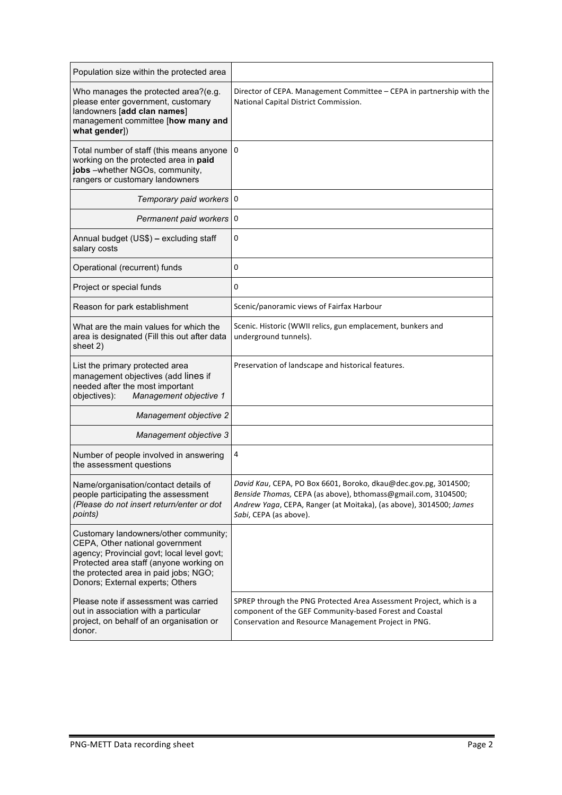| Population size within the protected area                                                                                                                                                                                                      |                                                                                                                                                                                                                                  |
|------------------------------------------------------------------------------------------------------------------------------------------------------------------------------------------------------------------------------------------------|----------------------------------------------------------------------------------------------------------------------------------------------------------------------------------------------------------------------------------|
| Who manages the protected area?(e.g.<br>please enter government, customary<br>landowners [add clan names]<br>management committee [how many and<br>what gender])                                                                               | Director of CEPA. Management Committee - CEPA in partnership with the<br>National Capital District Commission.                                                                                                                   |
| Total number of staff (this means anyone<br>working on the protected area in paid<br>jobs -whether NGOs, community,<br>rangers or customary landowners                                                                                         | $\mathbf{0}$                                                                                                                                                                                                                     |
| Temporary paid workers 0                                                                                                                                                                                                                       |                                                                                                                                                                                                                                  |
| Permanent paid workers 0                                                                                                                                                                                                                       |                                                                                                                                                                                                                                  |
| Annual budget (US\$) - excluding staff<br>salary costs                                                                                                                                                                                         | 0                                                                                                                                                                                                                                |
| Operational (recurrent) funds                                                                                                                                                                                                                  | 0                                                                                                                                                                                                                                |
| Project or special funds                                                                                                                                                                                                                       | 0                                                                                                                                                                                                                                |
| Reason for park establishment                                                                                                                                                                                                                  | Scenic/panoramic views of Fairfax Harbour                                                                                                                                                                                        |
| What are the main values for which the<br>area is designated (Fill this out after data<br>sheet 2)                                                                                                                                             | Scenic. Historic (WWII relics, gun emplacement, bunkers and<br>underground tunnels).                                                                                                                                             |
| List the primary protected area<br>management objectives (add lines if<br>needed after the most important<br>Management objective 1<br>objectives):                                                                                            | Preservation of landscape and historical features.                                                                                                                                                                               |
| Management objective 2                                                                                                                                                                                                                         |                                                                                                                                                                                                                                  |
| Management objective 3                                                                                                                                                                                                                         |                                                                                                                                                                                                                                  |
| Number of people involved in answering<br>the assessment questions                                                                                                                                                                             | 4                                                                                                                                                                                                                                |
| Name/organisation/contact details of<br>people participating the assessment<br>(Please do not insert return/enter or dot<br>points)                                                                                                            | David Kau, CEPA, PO Box 6601, Boroko, dkau@dec.gov.pg, 3014500;<br>Benside Thomas, CEPA (as above), bthomass@gmail.com, 3104500;<br>Andrew Yaga, CEPA, Ranger (at Moitaka), (as above), 3014500; James<br>Sabi, CEPA (as above). |
| Customary landowners/other community;<br>CEPA, Other national government<br>agency; Provincial govt; local level govt;<br>Protected area staff (anyone working on<br>the protected area in paid jobs; NGO;<br>Donors; External experts; Others |                                                                                                                                                                                                                                  |
| Please note if assessment was carried<br>out in association with a particular<br>project, on behalf of an organisation or<br>donor.                                                                                                            | SPREP through the PNG Protected Area Assessment Project, which is a<br>component of the GEF Community-based Forest and Coastal<br>Conservation and Resource Management Project in PNG.                                           |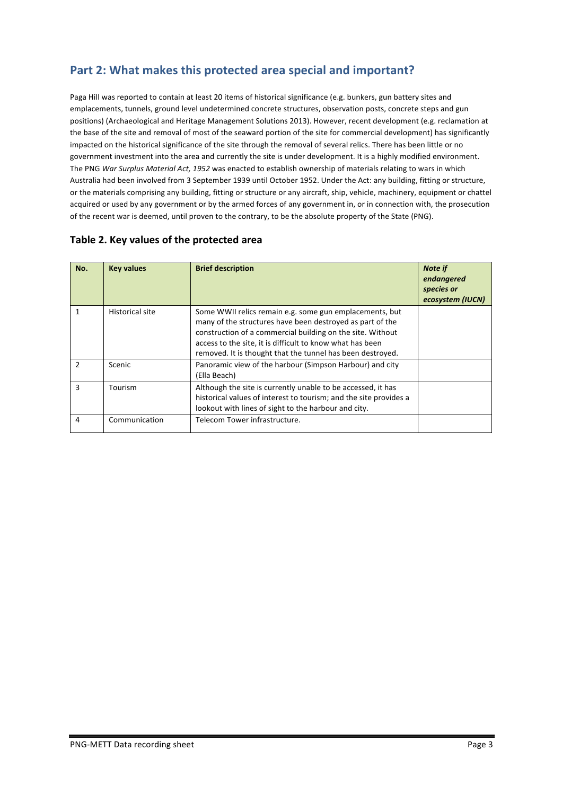# Part 2: What makes this protected area special and important?

Paga Hill was reported to contain at least 20 items of historical significance (e.g. bunkers, gun battery sites and emplacements, tunnels, ground level undetermined concrete structures, observation posts, concrete steps and gun positions) (Archaeological and Heritage Management Solutions 2013). However, recent development (e.g. reclamation at the base of the site and removal of most of the seaward portion of the site for commercial development) has significantly impacted on the historical significance of the site through the removal of several relics. There has been little or no government investment into the area and currently the site is under development. It is a highly modified environment. The PNG War Surplus Material Act, 1952 was enacted to establish ownership of materials relating to wars in which Australia had been involved from 3 September 1939 until October 1952. Under the Act: any building, fitting or structure, or the materials comprising any building, fitting or structure or any aircraft, ship, vehicle, machinery, equipment or chattel acquired or used by any government or by the armed forces of any government in, or in connection with, the prosecution of the recent war is deemed, until proven to the contrary, to be the absolute property of the State (PNG).

| No.           | <b>Key values</b> | <b>Brief description</b>                                                                                                                                                                                                                                                                                      | <b>Note if</b><br>endangered<br>species or<br>ecosystem (IUCN) |
|---------------|-------------------|---------------------------------------------------------------------------------------------------------------------------------------------------------------------------------------------------------------------------------------------------------------------------------------------------------------|----------------------------------------------------------------|
| 1             | Historical site   | Some WWII relics remain e.g. some gun emplacements, but<br>many of the structures have been destroyed as part of the<br>construction of a commercial building on the site. Without<br>access to the site, it is difficult to know what has been<br>removed. It is thought that the tunnel has been destroyed. |                                                                |
| $\mathfrak z$ | Scenic            | Panoramic view of the harbour (Simpson Harbour) and city<br>(Ella Beach)                                                                                                                                                                                                                                      |                                                                |
| 3             | Tourism           | Although the site is currently unable to be accessed, it has<br>historical values of interest to tourism; and the site provides a<br>lookout with lines of sight to the harbour and city.                                                                                                                     |                                                                |
| 4             | Communication     | Telecom Tower infrastructure.                                                                                                                                                                                                                                                                                 |                                                                |

#### Table 2. Key values of the protected area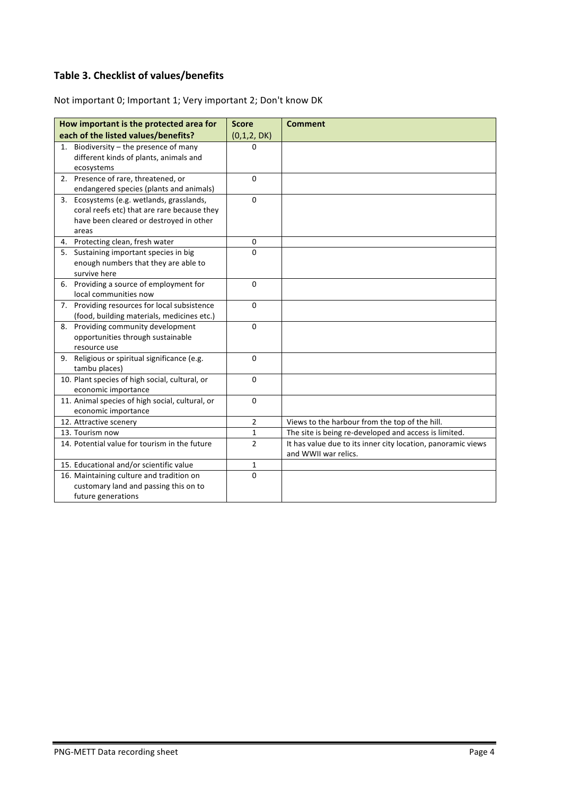### **Table 3. Checklist of values/benefits**

Not important 0; Important 1; Very important 2; Don't know DK

|       | How important is the protected area for           | <b>Score</b>   | <b>Comment</b>                                               |
|-------|---------------------------------------------------|----------------|--------------------------------------------------------------|
|       | each of the listed values/benefits?               | (0,1,2, DK)    |                                                              |
| 1.    | Biodiversity - the presence of many               | 0              |                                                              |
|       | different kinds of plants, animals and            |                |                                                              |
|       | ecosystems                                        |                |                                                              |
|       | 2. Presence of rare, threatened, or               | 0              |                                                              |
|       | endangered species (plants and animals)           |                |                                                              |
|       | 3. Ecosystems (e.g. wetlands, grasslands,         | $\Omega$       |                                                              |
|       | coral reefs etc) that are rare because they       |                |                                                              |
|       | have been cleared or destroyed in other           |                |                                                              |
| areas |                                                   |                |                                                              |
|       | 4. Protecting clean, fresh water                  | 0              |                                                              |
|       | 5. Sustaining important species in big            | $\Omega$       |                                                              |
|       | enough numbers that they are able to              |                |                                                              |
|       | survive here                                      |                |                                                              |
|       | 6. Providing a source of employment for           | $\mathbf 0$    |                                                              |
|       | local communities now                             |                |                                                              |
|       | 7. Providing resources for local subsistence      | 0              |                                                              |
|       | (food, building materials, medicines etc.)        |                |                                                              |
|       | 8. Providing community development                | 0              |                                                              |
|       | opportunities through sustainable<br>resource use |                |                                                              |
|       | 9. Religious or spiritual significance (e.g.      | $\mathbf 0$    |                                                              |
|       | tambu places)                                     |                |                                                              |
|       | 10. Plant species of high social, cultural, or    | 0              |                                                              |
|       | economic importance                               |                |                                                              |
|       | 11. Animal species of high social, cultural, or   | 0              |                                                              |
|       | economic importance                               |                |                                                              |
|       | 12. Attractive scenery                            | $\overline{2}$ | Views to the harbour from the top of the hill.               |
|       | 13. Tourism now                                   | 1              | The site is being re-developed and access is limited.        |
|       | 14. Potential value for tourism in the future     | $\overline{2}$ | It has value due to its inner city location, panoramic views |
|       |                                                   |                | and WWII war relics.                                         |
|       | 15. Educational and/or scientific value           | 1              |                                                              |
|       | 16. Maintaining culture and tradition on          | 0              |                                                              |
|       | customary land and passing this on to             |                |                                                              |
|       | future generations                                |                |                                                              |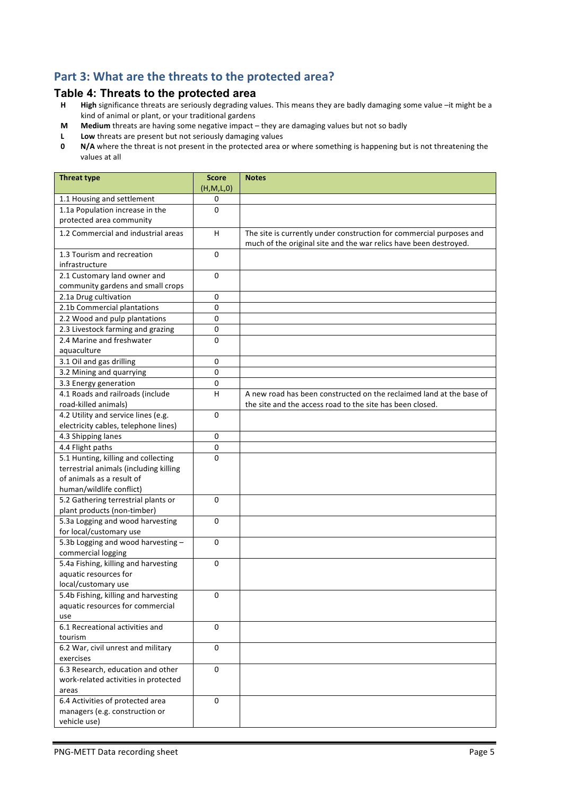# Part 3: What are the threats to the protected area?

# **Table 4: Threats to the protected area**<br>**H** High significance threats are seriously degrading va

- High significance threats are seriously degrading values. This means they are badly damaging some value -it might be a kind of animal or plant, or your traditional gardens
- **M** Medium threats are having some negative impact they are damaging values but not so badly
- **L** Low threats are present but not seriously damaging values<br>**0** N/A where the threat is not present in the protected area of
- **N/A** where the threat is not present in the protected area or where something is happening but is not threatening the values at all

| <b>Threat type</b>                     | <b>Score</b><br>(H,M,L,0) | <b>Notes</b>                                                         |
|----------------------------------------|---------------------------|----------------------------------------------------------------------|
| 1.1 Housing and settlement             | 0                         |                                                                      |
| 1.1a Population increase in the        | $\Omega$                  |                                                                      |
| protected area community               |                           |                                                                      |
| 1.2 Commercial and industrial areas    | H                         | The site is currently under construction for commercial purposes and |
|                                        |                           | much of the original site and the war relics have been destroyed.    |
| 1.3 Tourism and recreation             | 0                         |                                                                      |
| infrastructure                         |                           |                                                                      |
| 2.1 Customary land owner and           | $\mathbf 0$               |                                                                      |
| community gardens and small crops      |                           |                                                                      |
| 2.1a Drug cultivation                  | $\mathbf 0$               |                                                                      |
| 2.1b Commercial plantations            | $\mathbf 0$               |                                                                      |
| 2.2 Wood and pulp plantations          | 0                         |                                                                      |
| 2.3 Livestock farming and grazing      | $\pmb{0}$                 |                                                                      |
| 2.4 Marine and freshwater              | 0                         |                                                                      |
| aquaculture                            |                           |                                                                      |
| 3.1 Oil and gas drilling               | 0                         |                                                                      |
| 3.2 Mining and quarrying               | 0                         |                                                                      |
| 3.3 Energy generation                  | 0                         |                                                                      |
| 4.1 Roads and railroads (include       | $\overline{H}$            | A new road has been constructed on the reclaimed land at the base of |
| road-killed animals)                   |                           | the site and the access road to the site has been closed.            |
| 4.2 Utility and service lines (e.g.    | $\Omega$                  |                                                                      |
| electricity cables, telephone lines)   |                           |                                                                      |
| 4.3 Shipping lanes                     | $\pmb{0}$                 |                                                                      |
| 4.4 Flight paths                       | 0                         |                                                                      |
| 5.1 Hunting, killing and collecting    | $\Omega$                  |                                                                      |
| terrestrial animals (including killing |                           |                                                                      |
| of animals as a result of              |                           |                                                                      |
| human/wildlife conflict)               |                           |                                                                      |
| 5.2 Gathering terrestrial plants or    | $\Omega$                  |                                                                      |
| plant products (non-timber)            |                           |                                                                      |
| 5.3a Logging and wood harvesting       | 0                         |                                                                      |
| for local/customary use                |                           |                                                                      |
| 5.3b Logging and wood harvesting -     | 0                         |                                                                      |
| commercial logging                     |                           |                                                                      |
| 5.4a Fishing, killing and harvesting   | $\Omega$                  |                                                                      |
| aquatic resources for                  |                           |                                                                      |
| local/customary use                    |                           |                                                                      |
| 5.4b Fishing, killing and harvesting   | 0                         |                                                                      |
| aquatic resources for commercial       |                           |                                                                      |
| use                                    |                           |                                                                      |
| 6.1 Recreational activities and        | 0                         |                                                                      |
| tourism                                |                           |                                                                      |
| 6.2 War, civil unrest and military     | $\mathbf 0$               |                                                                      |
| exercises                              |                           |                                                                      |
| 6.3 Research, education and other      | $\mathbf 0$               |                                                                      |
| work-related activities in protected   |                           |                                                                      |
| areas                                  |                           |                                                                      |
| 6.4 Activities of protected area       | 0                         |                                                                      |
| managers (e.g. construction or         |                           |                                                                      |
| vehicle use)                           |                           |                                                                      |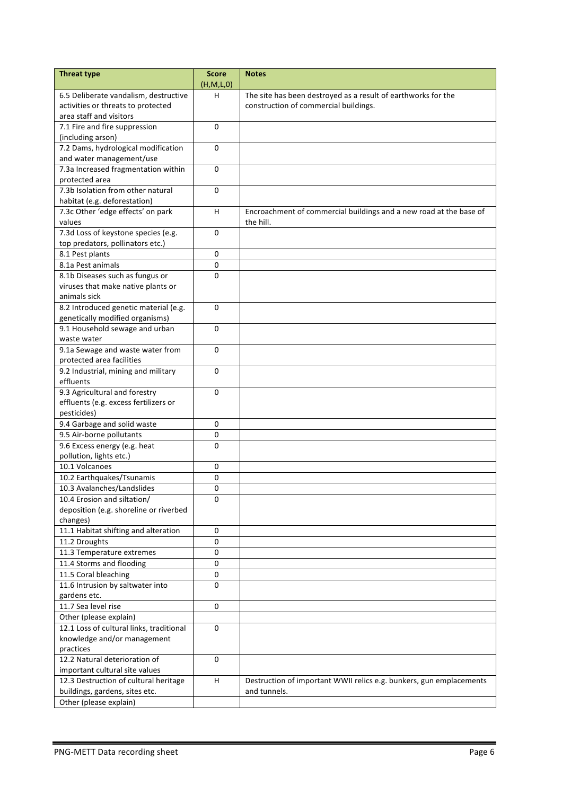| <b>Threat type</b>                       | <b>Score</b><br>(H, M, L, 0) | <b>Notes</b>                                                        |
|------------------------------------------|------------------------------|---------------------------------------------------------------------|
| 6.5 Deliberate vandalism, destructive    | н                            | The site has been destroyed as a result of earthworks for the       |
| activities or threats to protected       |                              | construction of commercial buildings.                               |
| area staff and visitors                  |                              |                                                                     |
| 7.1 Fire and fire suppression            | 0                            |                                                                     |
| (including arson)                        |                              |                                                                     |
| 7.2 Dams, hydrological modification      | $\Omega$                     |                                                                     |
| and water management/use                 |                              |                                                                     |
| 7.3a Increased fragmentation within      | $\Omega$                     |                                                                     |
| protected area                           |                              |                                                                     |
| 7.3b Isolation from other natural        | $\mathbf{0}$                 |                                                                     |
| habitat (e.g. deforestation)             |                              |                                                                     |
| 7.3c Other 'edge effects' on park        | H                            | Encroachment of commercial buildings and a new road at the base of  |
| values                                   |                              | the hill.                                                           |
| 7.3d Loss of keystone species (e.g.      | $\Omega$                     |                                                                     |
| top predators, pollinators etc.)         |                              |                                                                     |
| 8.1 Pest plants                          | $\mathbf 0$                  |                                                                     |
| 8.1a Pest animals                        | 0                            |                                                                     |
| 8.1b Diseases such as fungus or          | 0                            |                                                                     |
| viruses that make native plants or       |                              |                                                                     |
| animals sick                             |                              |                                                                     |
| 8.2 Introduced genetic material (e.g.    | $\mathbf{0}$                 |                                                                     |
| genetically modified organisms)          |                              |                                                                     |
| 9.1 Household sewage and urban           | $\Omega$                     |                                                                     |
| waste water                              |                              |                                                                     |
| 9.1a Sewage and waste water from         | $\mathbf{0}$                 |                                                                     |
| protected area facilities                |                              |                                                                     |
| 9.2 Industrial, mining and military      | 0                            |                                                                     |
| effluents                                |                              |                                                                     |
| 9.3 Agricultural and forestry            | $\Omega$                     |                                                                     |
| effluents (e.g. excess fertilizers or    |                              |                                                                     |
| pesticides)                              |                              |                                                                     |
| 9.4 Garbage and solid waste              | 0                            |                                                                     |
| 9.5 Air-borne pollutants                 | 0                            |                                                                     |
| 9.6 Excess energy (e.g. heat             | 0                            |                                                                     |
| pollution, lights etc.)                  |                              |                                                                     |
| 10.1 Volcanoes                           | 0                            |                                                                     |
| 10.2 Earthquakes/Tsunamis                | 0                            |                                                                     |
| 10.3 Avalanches/Landslides               | 0                            |                                                                     |
| 10.4 Erosion and siltation/              | 0                            |                                                                     |
| deposition (e.g. shoreline or riverbed   |                              |                                                                     |
| changes)                                 |                              |                                                                     |
| 11.1 Habitat shifting and alteration     | $\mathbf 0$                  |                                                                     |
| 11.2 Droughts                            | $\pmb{0}$                    |                                                                     |
| 11.3 Temperature extremes                | $\pmb{0}$                    |                                                                     |
| 11.4 Storms and flooding                 | $\pmb{0}$                    |                                                                     |
| 11.5 Coral bleaching                     | 0                            |                                                                     |
| 11.6 Intrusion by saltwater into         | $\mathbf 0$                  |                                                                     |
| gardens etc.                             |                              |                                                                     |
| 11.7 Sea level rise                      | 0                            |                                                                     |
| Other (please explain)                   |                              |                                                                     |
| 12.1 Loss of cultural links, traditional | 0                            |                                                                     |
| knowledge and/or management              |                              |                                                                     |
| practices                                |                              |                                                                     |
| 12.2 Natural deterioration of            | 0                            |                                                                     |
| important cultural site values           |                              |                                                                     |
| 12.3 Destruction of cultural heritage    | H                            | Destruction of important WWII relics e.g. bunkers, gun emplacements |
| buildings, gardens, sites etc.           |                              | and tunnels.                                                        |
| Other (please explain)                   |                              |                                                                     |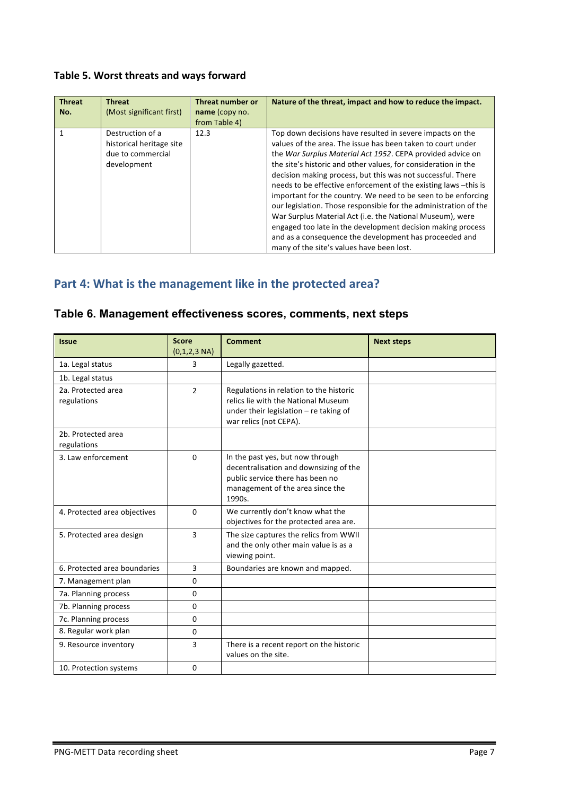### Table 5. Worst threats and ways forward

| <b>Threat</b><br>No. | <b>Threat</b><br>(Most significant first)                                        | Threat number or<br>name (copy no.<br>from Table 4) | Nature of the threat, impact and how to reduce the impact.                                                                                                                                                                                                                                                                                                                                                                                                                                                                                                                                                                                                                                                                                                         |
|----------------------|----------------------------------------------------------------------------------|-----------------------------------------------------|--------------------------------------------------------------------------------------------------------------------------------------------------------------------------------------------------------------------------------------------------------------------------------------------------------------------------------------------------------------------------------------------------------------------------------------------------------------------------------------------------------------------------------------------------------------------------------------------------------------------------------------------------------------------------------------------------------------------------------------------------------------------|
|                      | Destruction of a<br>historical heritage site<br>due to commercial<br>development | 12.3                                                | Top down decisions have resulted in severe impacts on the<br>values of the area. The issue has been taken to court under<br>the War Surplus Material Act 1952. CEPA provided advice on<br>the site's historic and other values, for consideration in the<br>decision making process, but this was not successful. There<br>needs to be effective enforcement of the existing laws -this is<br>important for the country. We need to be seen to be enforcing<br>our legislation. Those responsible for the administration of the<br>War Surplus Material Act (i.e. the National Museum), were<br>engaged too late in the development decision making process<br>and as a consequence the development has proceeded and<br>many of the site's values have been lost. |

## Part 4: What is the management like in the protected area?

#### **Table 6. Management effectiveness scores, comments, next steps**

| <b>Issue</b>                      | <b>Score</b><br>$(0,1,2,3 \text{ NA})$ | <b>Comment</b>                                                                                                                                               | <b>Next steps</b> |
|-----------------------------------|----------------------------------------|--------------------------------------------------------------------------------------------------------------------------------------------------------------|-------------------|
| 1a. Legal status                  | 3                                      | Legally gazetted.                                                                                                                                            |                   |
| 1b. Legal status                  |                                        |                                                                                                                                                              |                   |
| 2a. Protected area<br>regulations | $\overline{2}$                         | Regulations in relation to the historic<br>relics lie with the National Museum<br>under their legislation $-$ re taking of<br>war relics (not CEPA).         |                   |
| 2b. Protected area<br>regulations |                                        |                                                                                                                                                              |                   |
| 3. Law enforcement                | $\Omega$                               | In the past yes, but now through<br>decentralisation and downsizing of the<br>public service there has been no<br>management of the area since the<br>1990s. |                   |
| 4. Protected area objectives      | $\Omega$                               | We currently don't know what the<br>objectives for the protected area are.                                                                                   |                   |
| 5. Protected area design          | 3                                      | The size captures the relics from WWII<br>and the only other main value is as a<br>viewing point.                                                            |                   |
| 6. Protected area boundaries      | 3                                      | Boundaries are known and mapped.                                                                                                                             |                   |
| 7. Management plan                | 0                                      |                                                                                                                                                              |                   |
| 7a. Planning process              | $\Omega$                               |                                                                                                                                                              |                   |
| 7b. Planning process              | 0                                      |                                                                                                                                                              |                   |
| 7c. Planning process              | 0                                      |                                                                                                                                                              |                   |
| 8. Regular work plan              | $\Omega$                               |                                                                                                                                                              |                   |
| 9. Resource inventory             | 3                                      | There is a recent report on the historic<br>values on the site.                                                                                              |                   |
| 10. Protection systems            | 0                                      |                                                                                                                                                              |                   |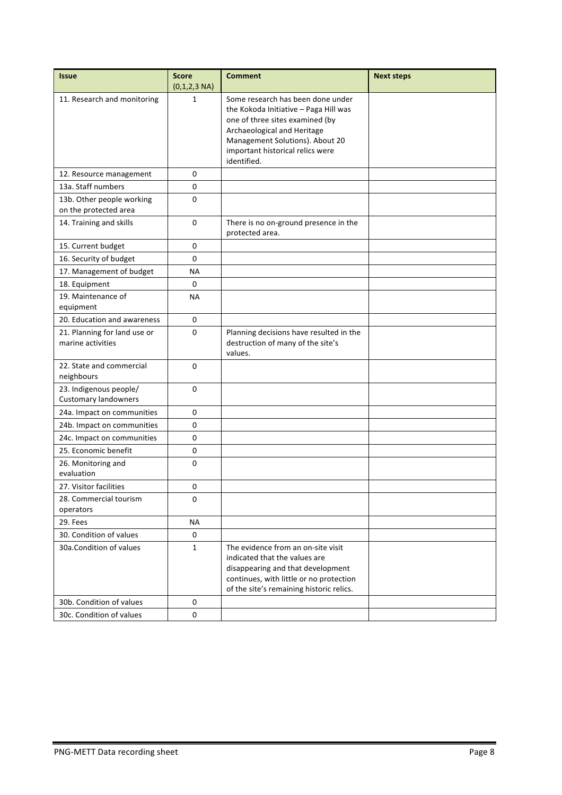| <b>Issue</b>                                          | <b>Score</b><br>$(0,1,2,3 \text{ NA})$ | <b>Comment</b>                                                                                                                                                                                                                     | <b>Next steps</b> |
|-------------------------------------------------------|----------------------------------------|------------------------------------------------------------------------------------------------------------------------------------------------------------------------------------------------------------------------------------|-------------------|
| 11. Research and monitoring                           | 1                                      | Some research has been done under<br>the Kokoda Initiative - Paga Hill was<br>one of three sites examined (by<br>Archaeological and Heritage<br>Management Solutions). About 20<br>important historical relics were<br>identified. |                   |
| 12. Resource management                               | 0                                      |                                                                                                                                                                                                                                    |                   |
| 13a. Staff numbers                                    | $\mathbf 0$                            |                                                                                                                                                                                                                                    |                   |
| 13b. Other people working<br>on the protected area    | 0                                      |                                                                                                                                                                                                                                    |                   |
| 14. Training and skills                               | $\Omega$                               | There is no on-ground presence in the<br>protected area.                                                                                                                                                                           |                   |
| 15. Current budget                                    | 0                                      |                                                                                                                                                                                                                                    |                   |
| 16. Security of budget                                | 0                                      |                                                                                                                                                                                                                                    |                   |
| 17. Management of budget                              | <b>NA</b>                              |                                                                                                                                                                                                                                    |                   |
| 18. Equipment                                         | 0                                      |                                                                                                                                                                                                                                    |                   |
| 19. Maintenance of<br>equipment                       | <b>NA</b>                              |                                                                                                                                                                                                                                    |                   |
| 20. Education and awareness                           | 0                                      |                                                                                                                                                                                                                                    |                   |
| 21. Planning for land use or<br>marine activities     | 0                                      | Planning decisions have resulted in the<br>destruction of many of the site's<br>values.                                                                                                                                            |                   |
| 22. State and commercial<br>neighbours                | 0                                      |                                                                                                                                                                                                                                    |                   |
| 23. Indigenous people/<br><b>Customary landowners</b> | 0                                      |                                                                                                                                                                                                                                    |                   |
| 24a. Impact on communities                            | 0                                      |                                                                                                                                                                                                                                    |                   |
| 24b. Impact on communities                            | 0                                      |                                                                                                                                                                                                                                    |                   |
| 24c. Impact on communities                            | 0                                      |                                                                                                                                                                                                                                    |                   |
| 25. Economic benefit                                  | 0                                      |                                                                                                                                                                                                                                    |                   |
| 26. Monitoring and<br>evaluation                      | 0                                      |                                                                                                                                                                                                                                    |                   |
| 27. Visitor facilities                                | 0                                      |                                                                                                                                                                                                                                    |                   |
| 28. Commercial tourism<br>operators                   | 0                                      |                                                                                                                                                                                                                                    |                   |
| 29. Fees                                              | ΝA                                     |                                                                                                                                                                                                                                    |                   |
| 30. Condition of values                               | 0                                      |                                                                                                                                                                                                                                    |                   |
| 30a.Condition of values                               | $\mathbf{1}$                           | The evidence from an on-site visit<br>indicated that the values are<br>disappearing and that development<br>continues, with little or no protection<br>of the site's remaining historic relics.                                    |                   |
| 30b. Condition of values                              | 0                                      |                                                                                                                                                                                                                                    |                   |
| 30c. Condition of values                              | 0                                      |                                                                                                                                                                                                                                    |                   |